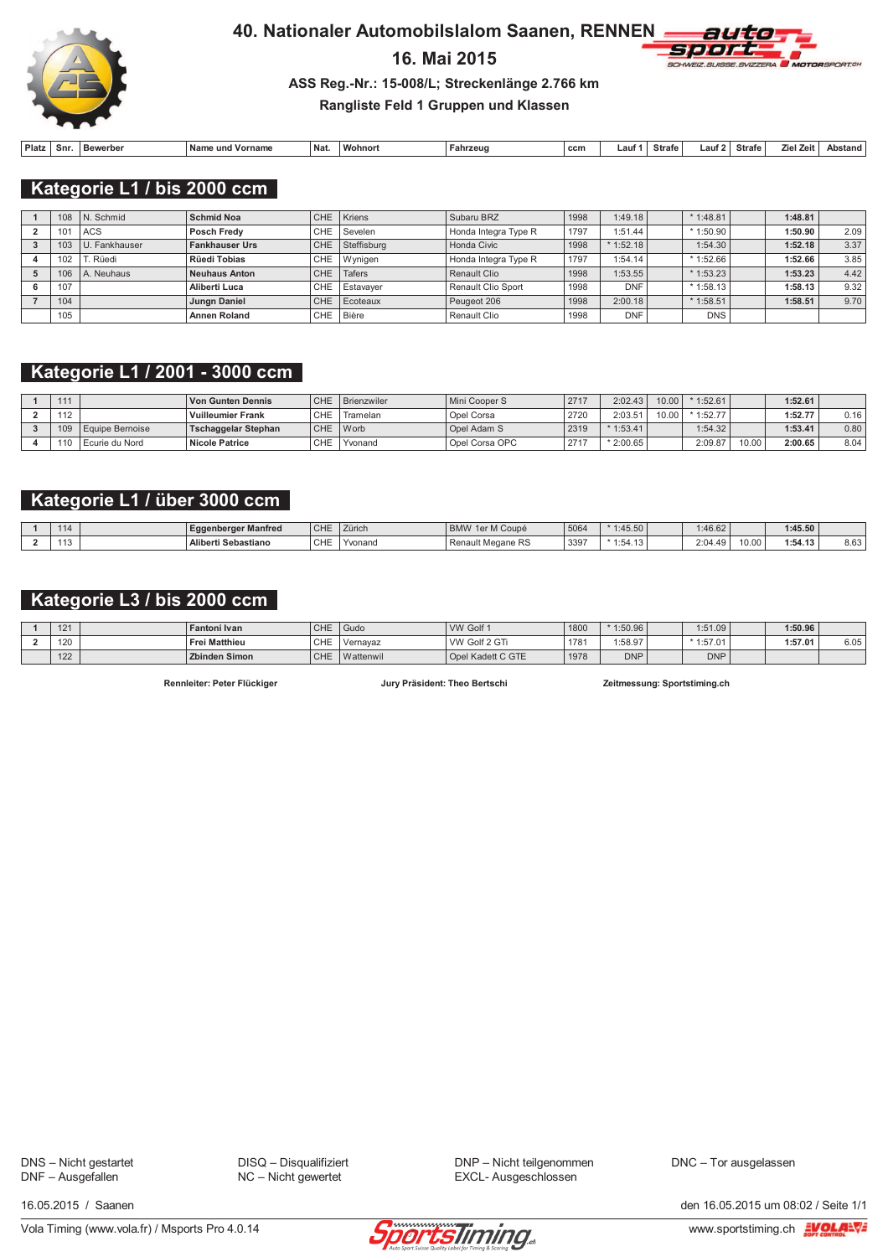

# 16. Mai 2015



### ASS Reg.-Nr.: 15-008/L; Streckenlänge 2.766 km

### Rangliste Feld 1 Gruppen und Klassen

| Platz | Snı | Bewerber | Name<br>Vorname<br>und | ' Nat. | ' Wohnor. | ahrzeug | ccm | ∟aut | Strafe | ∟aut ' | Strafe | Zeit<br>Ziel | Abstand |
|-------|-----|----------|------------------------|--------|-----------|---------|-----|------|--------|--------|--------|--------------|---------|

Kategorie L1 / bis 2000 ccm

| 108 | N. Schmid     | <b>Schmid Noa</b>     |            | CHE Kriens      | Subaru BRZ           | 1998 | 1:49.18    | $*1:48.81$ | 1:48.81 |      |
|-----|---------------|-----------------------|------------|-----------------|----------------------|------|------------|------------|---------|------|
| 101 | <b>ACS</b>    | Posch Fredv           |            | CHE Sevelen     | Honda Integra Type R | 1797 | 1:51.44    | $*1:50.90$ | 1:50.90 | 2.09 |
| 103 | U. Fankhauser | <b>Fankhauser Urs</b> |            | CHE Steffisburg | Honda Civic          | 1998 | $*1:52.18$ | 1:54.30    | 1:52.18 | 3.37 |
| 102 | . Rüedi       | Rüedi Tobias          |            | CHE Wynigen     | Honda Integra Type R | 1797 | 1:54.14    | $*1:52.66$ | 1:52.66 | 3.85 |
| 106 | A. Neuhaus    | <b>Neuhaus Anton</b>  | <b>CHE</b> | Tafers          | Renault Clio         | 1998 | 1:53.55    | $*1:53.23$ | 1:53.23 | 4.42 |
| 107 |               | Aliberti Luca         | CHE        | Estavaver       | Renault Clio Sport   | 1998 | <b>DNF</b> | $*1:58.13$ | 1:58.13 | 9.32 |
| 104 |               | Jungn Daniel          |            | CHE Ecoteaux    | Peugeot 206          | 1998 | 2:00.18    | $*1:58.51$ | 1:58.51 | 9.70 |
| 105 |               | <b>Annen Roland</b>   |            | CHE Bière       | Renault Clio         | 1998 | <b>DNF</b> | <b>DNS</b> |         |      |

# Kategorie L1 / 2001 - 3000 ccm

| 111 |                 | <b>Von Gunten Dennis</b>   | <b>CHE</b> | Brienzwiler | Mini Cooper S  | 2717    | 2:02.43    | 10.00 | 1:52.61 |       | 1:52.61 |      |
|-----|-----------------|----------------------------|------------|-------------|----------------|---------|------------|-------|---------|-------|---------|------|
| 112 |                 | <b>Vuilleumier Frank</b>   | CHE        | Framelan    | Opel Corsa     | 2720    | 2:03.51    | 10.00 | 1:52.77 |       | 1:52.77 | 0.16 |
| 109 | Equipe Bernoise | <b>Tschaggelar Stephan</b> | <b>CHE</b> | Worb        | Opel Adam S    | 2319    | $*1:53.41$ |       | 1:54.32 |       | 1:53.41 | 0.80 |
| 110 | Ecurie du Nord  | <b>Nicole Patrice</b>      | CHE        | Yvonand     | Opel Corsa OPC | $274 -$ | $*2:00.65$ |       | 2:09.87 | 10.00 | 2:00.65 | 8.04 |

## Kategorie L1 / über 3000 ccm

|  | Eggenberger Manfred | CHE         | Zürich  | 1er M Coupé<br>DAMAI<br><b>BIVIVY</b> | 5064 | :45.50     | 1:46.62                                     |       | 1:45.50  |      |
|--|---------------------|-------------|---------|---------------------------------------|------|------------|---------------------------------------------|-------|----------|------|
|  | Aliberti Sebastiano | C11F<br>UHE | Yvonano | Renault Megane RS                     | 339  | $*1:54.13$ | 2.04<br>$\Lambda$ Q<br>' 17. <del>. ا</del> | 10.00 | $-0.442$ | 8.63 |

# Kategorie L3 / bis 2000 ccm

| 101<br>$\overline{2}$ | <b>Fantoni Ivan</b>  | CHE        | Gudo      | VW Golf 1         | 1800 | $*1:50.96$ | 1:51.09    | 1:50.96 |      |
|-----------------------|----------------------|------------|-----------|-------------------|------|------------|------------|---------|------|
| 100<br>- 1            | <b>Frei Matthieu</b> | CHE        | 'Vernavaz | VW Golf 2 GTi     | 1781 | 1:58.97    | $*1:57.01$ | 1:57.01 | 6.05 |
| 122                   | <b>Zbinden Simon</b> | <b>CHE</b> | Wattenwil | Opel Kadett C GTE | 1978 | <b>DNP</b> | <b>DNP</b> |         |      |

Rennleiter: Peter Flückiger

Jury Präsident: Theo Bertschi

Zeitmessung: Sportstiming.ch

DNS - Nicht gestartet<br>DNF - Ausgefallen

DISQ - Disqualifiziert NC - Nicht gewertet

DNP - Nicht teilgenommen EXCL- Ausgeschlossen

DNC - Tor ausgelassen

16.05.2015 / Saanen



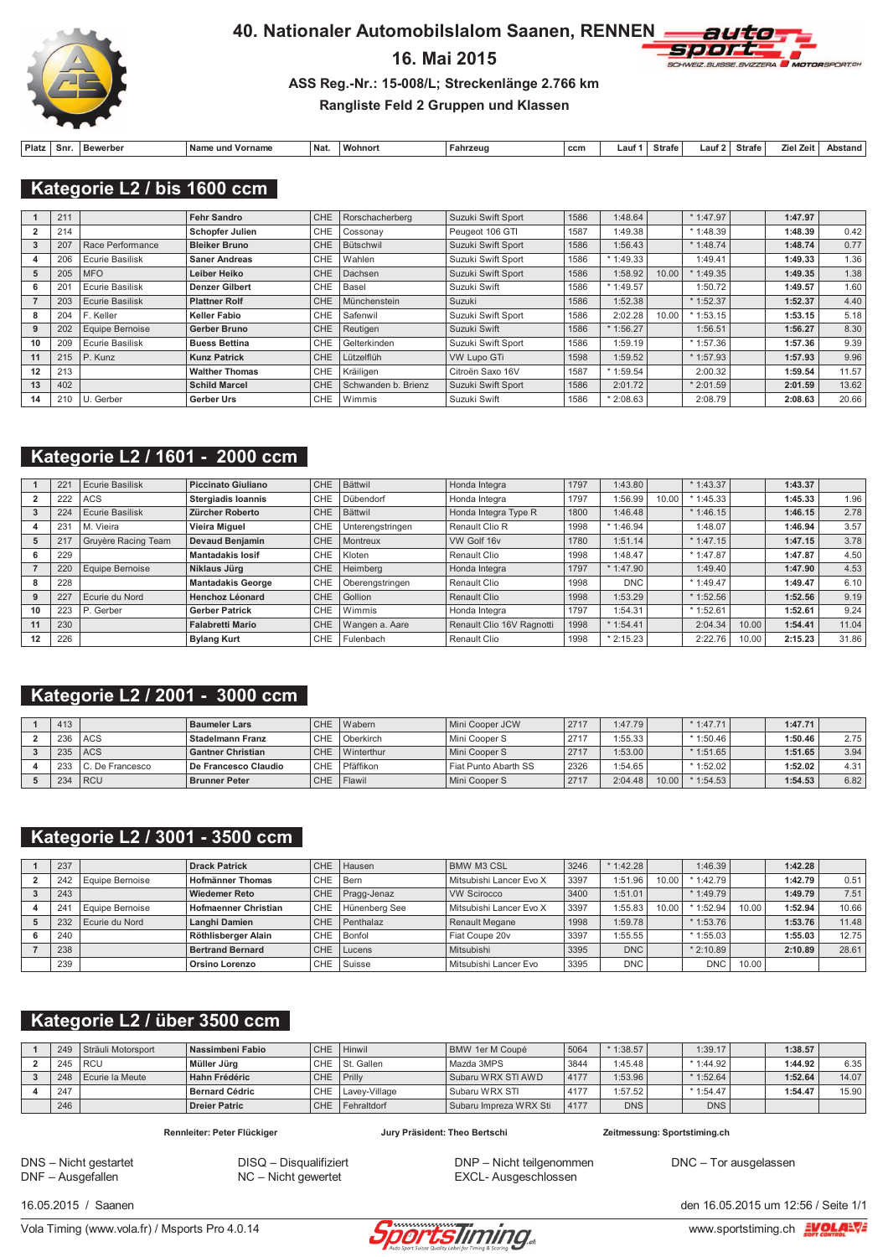

# 16. Mai 2015



### ASS Reg.-Nr.: 15-008/L; Streckenlänge 2.766 km

### Rangliste Feld 2 Gruppen und Klassen

| Platz | Snr. | <b>Bewerber</b> | Nam<br>Vorname<br>und | Nat. | <b>Mohnor</b> | Fahrzeud | ccm | ∟aut∵ | <b>Strafe</b> | ∟aut ' | Strafe | . Zei<br>7iel | Abstand |
|-------|------|-----------------|-----------------------|------|---------------|----------|-----|-------|---------------|--------|--------|---------------|---------|

Kategorie L2 / bis 1600 ccm

|                   | 211 |                        | <b>Fehr Sandro</b>     | CHE.       | Rorschacherberg     | Suzuki Swift Sport | 1586 | 1:48.64    |       | $*1:47.97$ | 1:47.97 |       |
|-------------------|-----|------------------------|------------------------|------------|---------------------|--------------------|------|------------|-------|------------|---------|-------|
|                   | 214 |                        | <b>Schopfer Julien</b> | <b>CHE</b> | Cossonav            | Peugeot 106 GTI    | 1587 | 1:49.38    |       | $*1:48.39$ | 1:48.39 | 0.42  |
|                   | 207 | Race Performance       | <b>Bleiker Bruno</b>   | CHE        | Bütschwil           | Suzuki Swift Sport | 1586 | 1:56.43    |       | $*1:48.74$ | 1:48.74 | 0.77  |
|                   | 206 | Ecurie Basilisk        | <b>Saner Andreas</b>   | <b>CHE</b> | Wahlen              | Suzuki Swift Sport | 1586 | $*1:49.33$ |       | 1:49.41    | 1:49.33 | 1.36  |
| 5                 | 205 | <b>MFO</b>             | Leiber Heiko           | CHE        | Dachsen             | Suzuki Swift Sport | 1586 | 1:58.92    | 10.00 | 1:49.35    | 1:49.35 | 1.38  |
|                   | 20  | Ecurie Basilisk        | <b>Denzer Gilbert</b>  | <b>CHE</b> | Basel               | Suzuki Swift       | 1586 | $*1:49.57$ |       | 1:50.72    | 1:49.57 | 1.60  |
|                   | 203 | <b>Ecurie Basilisk</b> | <b>Plattner Rolf</b>   | CHE        | Münchenstein        | Suzuki             | 1586 | 1:52.38    |       | $*1:52.37$ | 1:52.37 | 4.40  |
| 8                 | 204 | F. Keller              | Keller Fabio           | <b>CHE</b> | Safenwil            | Suzuki Swift Sport | 1586 | 2:02.28    | 10.00 | $*1:53.15$ | 1:53.15 | 5.18  |
|                   | 202 | Equipe Bernoise        | Gerber Bruno           | CHE        | Reutigen            | Suzuki Swift       | 1586 | $*1:56.27$ |       | 1:56.51    | 1:56.27 | 8.30  |
| 10                | 209 | <b>Ecurie Basilisk</b> | <b>Buess Bettina</b>   | <b>CHE</b> | Gelterkinden        | Suzuki Swift Sport | 1586 | 1:59.19    |       | $*1:57.36$ | 1:57.36 | 9.39  |
| 11                | 215 | $P$ . Kunz             | <b>Kunz Patrick</b>    | CHE        | Lützelflüh          | <b>VW Lupo GTi</b> | 1598 | 1:59.52    |       | $*1:57.93$ | 1:57.93 | 9.96  |
| $12 \overline{ }$ | 213 |                        | <b>Walther Thomas</b>  | <b>CHE</b> | Kräiligen           | Citroën Saxo 16V   | 1587 | $*1:59.54$ |       | 2:00.32    | 1:59.54 | 11.57 |
| 13                | 402 |                        | <b>Schild Marcel</b>   | CHE        | Schwanden b. Brienz | Suzuki Swift Sport | 1586 | 2:01.72    |       | $*2:01.59$ | 2:01.59 | 13.62 |
| 14                | 210 | U. Gerber              | Gerber Urs             | <b>CHE</b> | Wimmis              | Suzuki Swift       | 1586 | $*2:08.63$ |       | 2:08.79    | 2:08.63 | 20.66 |

# Kategorie L2 / 1601 - 2000 ccm

|    | $22^{\circ}$ | <b>Ecurie Basilisk</b> | <b>Piccinato Giuliano</b> | CHE. | Bättwil          | Honda Integra             | 1797 | 1:43.80    |       | $*1:43.37$ |       | 1:43.37 |       |
|----|--------------|------------------------|---------------------------|------|------------------|---------------------------|------|------------|-------|------------|-------|---------|-------|
|    | 222          | ACS                    | <b>Stergiadis Ioannis</b> | CHE  | Dübendorf        | Honda Integra             | 1797 | 1:56.99    | 10.00 | $*1:45.33$ |       | 1:45.33 | 1.96  |
|    | 224          | <b>Ecurie Basilisk</b> | Zürcher Roberto           | CHE. | Bättwil          | Honda Integra Type R      | 1800 | 1:46.48    |       | $*1:46.15$ |       | 1:46.15 | 2.78  |
|    | 231          | M. Vieira              | <b>Vieira Miguel</b>      | CHE  | Unterengstringen | Renault Clio R            | 1998 | $*1:46.94$ |       | 1:48.07    |       | 1:46.94 | 3.57  |
| 5  | 217          | Gruyère Racing Team    | Devaud Benjamin           | CHE. | Montreux         | VW Golf 16v               | 1780 | 1:51.14    |       | $*1:47.15$ |       | 1:47.15 | 3.78  |
| 6  | 229          |                        | <b>Mantadakis losif</b>   | CHE  | Kloten           | Renault Clio              | 1998 | 1:48.47    |       | $*1:47.87$ |       | 1:47.87 | 4.50  |
|    | 220          | Equipe Bernoise        | Niklaus Jürg              | CHE. | Heimberg         | Honda Integra             | 1797 | $*1:47.90$ |       | 1:49.40    |       | 1:47.90 | 4.53  |
| 8  | 228          |                        | <b>Mantadakis George</b>  | CHE  | Oberenastringen  | Renault Clio              | 1998 | <b>DNC</b> |       | $*1:49.47$ |       | 1:49.47 | 6.10  |
|    | 227          | Ecurie du Nord         | Henchoz Léonard           | CHE. | Gollion          | Renault Clio              | 1998 | 1:53.29    |       | $*1:52.56$ |       | 1:52.56 | 9.19  |
| 10 | 223          | P. Gerber              | <b>Gerber Patrick</b>     | CHE  | Wimmis           | Honda Integra             | 1797 | 1:54.31    |       | $*1:52.61$ |       | 1:52.61 | 9.24  |
| 11 | 230          |                        | <b>Falabretti Mario</b>   | CHE. | Wangen a, Aare   | Renault Clio 16V Ragnotti | 1998 | $*1:54.41$ |       | 2:04.34    | 10.00 | 1:54.41 | 11.04 |
| 12 | 226          |                        | <b>Bylang Kurt</b>        | CHE  | Fulenbach        | Renault Clio              | 1998 | $*2:15.23$ |       | 2:22.76    | 10.00 | 2:15.23 | 31.86 |

### Kategorie L2 / 2001 - 3000 ccm

| 413 |                     | <b>Baumeler Lars</b>     |     | CHE Wabern     | Mini Cooper JCW      | 2717 | 1:47.79 |       | $*1:47.71$  | 1:47.71 |      |
|-----|---------------------|--------------------------|-----|----------------|----------------------|------|---------|-------|-------------|---------|------|
| 236 | <b>ACS</b>          | <b>Stadelmann Franz</b>  | CHE | Oberkirch      | Mini Cooper S        | 2717 | 1:55.33 |       | $*1:50.46$  | 1:50.46 | 2.75 |
| 235 | <b>ACS</b>          | <b>Gantner Christian</b> |     | CHE Winterthur | Mini Cooper S        | 2717 | 1:53.00 |       | $*1:51.65$  | 1:51.65 | 3.94 |
|     | 233 C. De Francesco | De Francesco Claudio     | CHE | l Pfäffikon    | Fiat Punto Abarth SS | 2326 | 1:54.65 |       | $* 1:52.02$ | 1:52.02 | 4.31 |
| 234 | <b>IRCU</b>         | <b>Brunner Peter</b>     |     | CHE   Flawil   | Mini Cooper S        | 2717 | 2:04.48 | 10.00 | 1:54.53     | 1:54.53 | 6.82 |

## Kategorie L2 / 3001 - 3500 ccm

| 237 |                 | <b>Drack Patrick</b>        |            | CHE Hausen    | <b>BMW M3 CSL</b>       | 3246 | $*1:42.28$ |       | 1:46.39     |       | 1:42.28 |       |
|-----|-----------------|-----------------------------|------------|---------------|-------------------------|------|------------|-------|-------------|-------|---------|-------|
| 242 | Equipe Bernoise | <b>Hofmänner Thomas</b>     | CHE        | l Bern        | Mitsubishi Lancer Evo X | 3397 | 1:51.96    | 10.00 | $*$ 1:42.79 |       | 1:42.79 | 0.51  |
| 243 |                 | <b>Wiedemer Reto</b>        | <b>CHE</b> | Pragg-Jenaz   | <b>VW Scirocco</b>      | 3400 | 1:51.01    |       | $*1:49.79$  |       | 1:49.79 | 7.51  |
| 24  | Equipe Bernoise | <b>Hofmaenner Christian</b> | CHE        | Hünenberg See | Mitsubishi Lancer Evo X | 3397 | 1:55.83    | 10.00 | $*1:52.94$  | 10.00 | 1:52.94 | 10.66 |
| 232 | Ecurie du Nord  | <b>Langhi Damien</b>        | CHE        | Penthalaz     | Renault Megane          | 1998 | 1:59.78    |       | $*1:53.76$  |       | 1:53.76 | 11.48 |
| 240 |                 | Röthlisberger Alain         | <b>CHE</b> | Bonfol        | Fiat Coupe 20v          | 3397 | 1:55.55    |       | $*1:55.03$  |       | 1:55.03 | 12.75 |
| 238 |                 | <b>Bertrand Bernard</b>     | <b>CHE</b> | Lucens        | Mitsubishi              | 3395 | <b>DNC</b> |       | $*2:10.89$  |       | 2:10.89 | 28.61 |
| 239 |                 | Orsino Lorenzo              | CHE        | Suisse        | Mitsubishi Lancer Evo   | 3395 | <b>DNC</b> |       | <b>DNC</b>  | 10.00 |         |       |

# Kategorie L2 / über 3500 ccm

|     | 249 Sträuli Motorsport | Nassimbeni Fabio      |            | CHE   Hinwil    | BMW 1er M Coupé        | 5064 | $*1:38.57$ | 1:39.17     | 1:38.57 |       |
|-----|------------------------|-----------------------|------------|-----------------|------------------------|------|------------|-------------|---------|-------|
| 245 | RCU                    | Müller Jüra           |            | CHE St. Gallen  | Mazda 3MPS             | 3844 | 1:45.48    | $*$ 1:44.92 | 1:44.92 | 6.35  |
| 248 | Ecurie la Meute        | <b>Hahn Frédéric</b>  | CHE Prilly |                 | Subaru WRX STI AWD     | 4177 | 1:53.96    | $*1:52.64$  | 1:52.64 | 14.07 |
| 247 |                        | <b>Bernard Cédric</b> | CHE        | Lavev-Village   | Subaru WRX STI         | 4177 | 1:57.52    | $*1:54.47$  | 1:54.47 | 15.90 |
| 246 |                        | <b>Dreier Patric</b>  |            | CHE Fehraltdorf | Subaru Impreza WRX Sti | 4177 | <b>DNS</b> | <b>DNS</b>  |         |       |

Rennleiter: Peter Flückiger

Jury Präsident: Theo Bertschi

Zeitmessung: Sportstiming.ch

DNS - Nicht gestartet<br>DNF - Ausgefallen

DISQ - Disqualifiziert NC - Nicht gewertet

DNP - Nicht teilgenommen EXCL- Ausgeschlossen

DNC - Tor ausgelassen

16.05.2015 / Saanen



den 16.05.2015 um 12:56 / Seite 1/1

www.sportstiming.ch EVOLANT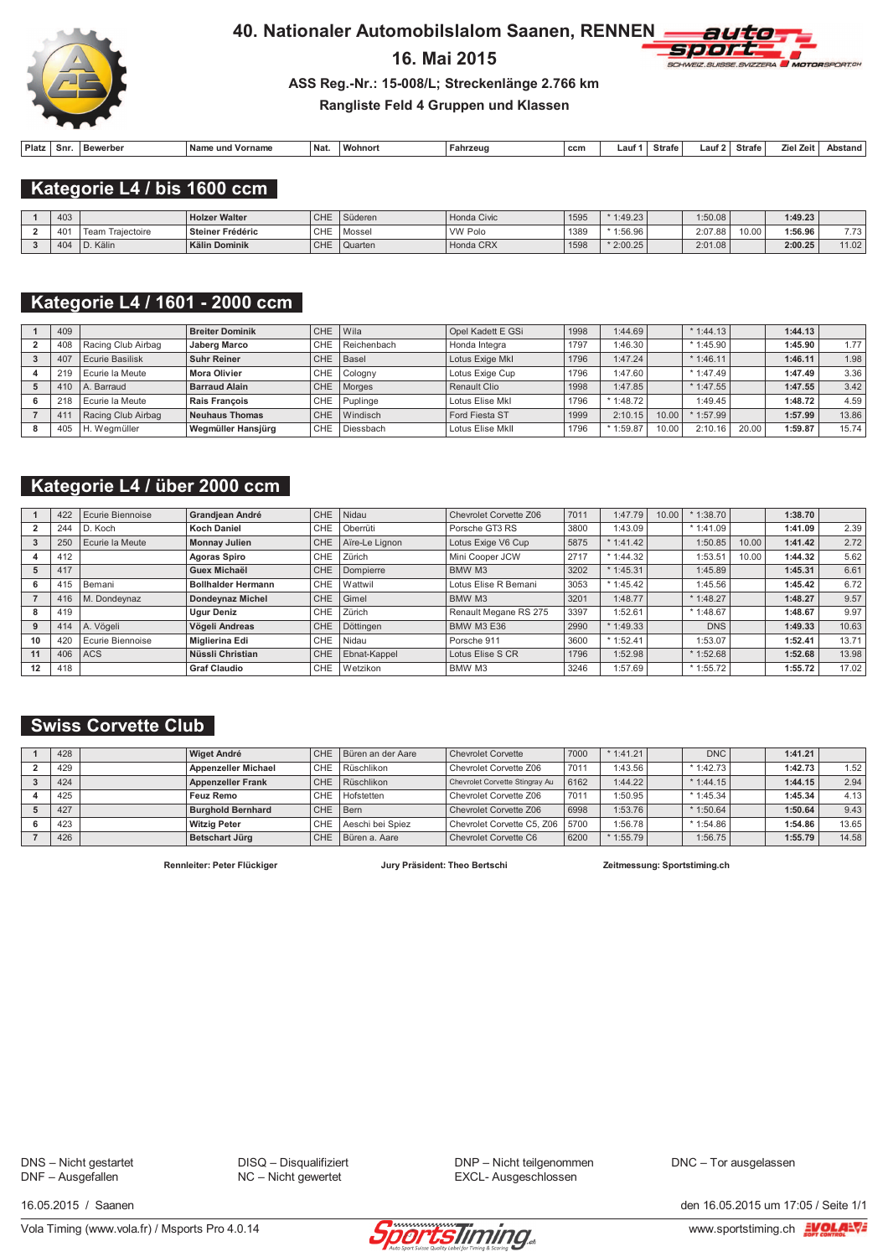

# 16. Mai 2015



#### ASS Reg.-Nr.: 15-008/L; Streckenlänge 2.766 km

### Rangliste Feld 4 Gruppen und Klassen

| Platz<br>Nam.<br>Snr.<br>Vorr.<br>Bewerber<br>∙ unc | Na<br>name | Wohnor | Fahrzeud | ccn | _aut | Strafe | Laut | <b>Strafe</b><br>$\mathbf{r}$ | Ziel Zeit | Abstand |
|-----------------------------------------------------|------------|--------|----------|-----|------|--------|------|-------------------------------|-----------|---------|

Kategorie L4 / bis 1600 ccm

| 403 |                     | <b>Holzer Walter</b> | <b>CHE</b> | <sup>'</sup> Süderen | Honda Civic    | 1595 | 1:49.23    | 1:50.08 |       | 1:49.23 |          |
|-----|---------------------|----------------------|------------|----------------------|----------------|------|------------|---------|-------|---------|----------|
| 401 | Traiectoire<br>Team | Steiner Frédéric     | CHE        | Mossel               | <b>VW Polo</b> | 1389 | $*1:56.96$ | 2:07.88 | 10.00 | 1:56.96 | 772<br>. |
| 404 | Kälin               | <b>Kälin Dominik</b> | <b>CHE</b> | Quarten              | Honda CRX      | 1598 | $*2:00.25$ | 2:01.08 |       | 2:00.25 | 11.02    |

## Kategorie L4 / 1601 - 2000 ccm

| 409 |                        | <b>Breiter Dominik</b>     | <b>CHE</b> | Wila        | Opel Kadett E GSi | 1998 | 1:44.69     |       | $*1:44.13$  |       | 1:44.13 |       |
|-----|------------------------|----------------------------|------------|-------------|-------------------|------|-------------|-------|-------------|-------|---------|-------|
| 408 | Racing Club Airbag     | <b>Jaberg Marco</b>        | <b>CHE</b> | Reichenbach | Honda Integra     | 1797 | 1:46.30     |       | $*$ 1:45.90 |       | 1:45.90 | 1.77  |
| 407 | <b>Ecurie Basilisk</b> | <b>Suhr Reiner</b>         | <b>CHE</b> | Basel       | Lotus Exige MkI   | 1796 | 1:47.24     |       | $*1:46.11$  |       | 1:46.11 | 1.98  |
| 219 | Ecurie la Meute        | CHE<br><b>Mora Olivier</b> |            | Cologny     | Lotus Exige Cup   | 1796 | 1:47.60     |       | $*$ 1:47.49 |       | 1:47.49 | 3.36  |
| 410 | A. Barraud             | <b>Barraud Alain</b>       | <b>CHE</b> | Morges      | Renault Clio      | 1998 | 1:47.85     |       | $*$ 1:47.55 |       | 1:47.55 | 3.42  |
| 218 | Ecurie la Meute        | <b>Rais Francois</b>       | <b>CHE</b> | Puplinge    | Lotus Elise Mkl   | 1796 | $*$ 1:48.72 |       | 1:49.45     |       | 1:48.72 | 4.59  |
| 41  | Racing Club Airbag     | <b>Neuhaus Thomas</b>      | CHE        | Windisch    | Ford Fiesta ST    | 1999 | 2:10.15     | 10.00 | $*$ 1:57.99 |       | 1:57.99 | 13.86 |
| 405 | H. Weamüller           | Wegmüller Hansjürg         | <b>CHE</b> | Diessbach   | Lotus Elise Mkll  | 1796 | $*1:59.87$  | 10.00 | 2:10.16     | 20.00 | 1:59.87 | 15.74 |

### Kategorie L4 / über 2000 ccm

|    | 422 | Ecurie Biennoise | <b>Grandiean André</b>            | CHE        | Nidau          | Chevrolet Corvette Z06 | 7011 | 1:47.79    | 10.00 | 1:38.70    |       | 1:38.70 |       |
|----|-----|------------------|-----------------------------------|------------|----------------|------------------------|------|------------|-------|------------|-------|---------|-------|
|    | 244 | D. Koch          | <b>Koch Daniel</b>                | <b>CHE</b> | Oberrüti       | Porsche GT3 RS         | 3800 | 1:43.09    |       | $*1:41.09$ |       | 1:41.09 | 2.39  |
|    | 250 | Ecurie la Meute  | <b>Monnay Julien</b>              | CHE.       | Aïre-Le Lignon | Lotus Exige V6 Cup     | 5875 | $*1:41.42$ |       | 1:50.85    | 10.00 | 1:41.42 | 2.72  |
|    | 412 |                  | <b>Agoras Spiro</b>               | CHE.       | Zürich         | Mini Cooper JCW        | 2717 | $*1:44.32$ |       | 1:53.51    | 10.00 | 1:44.32 | 5.62  |
|    | 417 |                  | <b>Guex Michaël</b>               | CHE.       | Dompierre      | BMW M3                 | 3202 | $*1:45.31$ |       | 1:45.89    |       | 1:45.31 | 6.61  |
| 6  | 415 | Bemani           | <b>Bollhalder Hermann</b>         | <b>CHE</b> | Wattwil        | Lotus Elise R Bemani   | 3053 | $*1:45.42$ |       | 1:45.56    |       | 1:45.42 | 6.72  |
|    | 416 | M. Dondeynaz     | <b>Dondevnaz Michel</b>           | CHE.       | Gimel          | BMW M3                 | 3201 | 1:48.77    |       | $*1:48.27$ |       | 1:48.27 | 9.57  |
| 8  | 419 |                  | <b>Ugur Deniz</b>                 | CHE.       | Zürich         | Renault Megane RS 275  | 3397 | 1:52.61    |       | $*1:48.67$ |       | 1:48.67 | 9.97  |
| 9  | 414 | A. Vögeli        | Vögeli Andreas                    | CHE.       | Döttingen      | <b>BMW M3 E36</b>      | 2990 | $*1:49.33$ |       | <b>DNS</b> |       | 1:49.33 | 10.63 |
| 10 | 420 | Ecurie Biennoise | <b>Miglierina Edi</b>             | CHE.       | Nidau          | Porsche 911            | 3600 | $*1:52.41$ |       | 1:53.07    |       | 1:52.41 | 13.71 |
| 11 | 406 | <b>ACS</b>       | Nüssli Christian                  | CHE.       | Ebnat-Kappel   | Lotus Elise S CR       | 1796 | 1:52.98    |       | $*1:52.68$ |       | 1:52.68 | 13.98 |
| 12 | 418 |                  | <b>CHE</b><br><b>Graf Claudio</b> |            | Wetzikon       | BMW M3                 | 3246 | 1:57.69    |       | $*1:55.72$ |       | 1:55.72 | 17.02 |

## **Swiss Corvette Club**

| 428 | <b>Wiget André</b>         | CHE        | Büren an der Aare | Chevrolet Corvette                | 7000 | $*1:41.21$  | DNC I       | 1:41.21 |       |
|-----|----------------------------|------------|-------------------|-----------------------------------|------|-------------|-------------|---------|-------|
| 429 | <b>Appenzeller Michael</b> | CHE        | Rüschlikon        | Chevrolet Corvette Z06            | 7011 | 1:43.56     | $*1.42.73$  | 1:42.73 | 1.52  |
| 424 | <b>Appenzeller Frank</b>   | CHE        | Rüschlikon        | Chevrolet Corvette Stingray Au    | 6162 | 1:44.22     | $*1:44.15$  | 1:44.15 | 2.94  |
| 425 | Feuz Remo                  | CHE        | Hofstetten        | Chevrolet Corvette Z06            | 7011 | 1:50.95     | $*$ 1:45.34 | 1:45.34 | 4.13  |
| 427 | <b>Burghold Bernhard</b>   | CHE        | Bern              | Chevrolet Corvette Z06            | 6998 | 1:53.76     | $*$ 1:50.64 | 1:50.64 | 9.43  |
| 423 | <b>Witzig Peter</b>        | <b>CHE</b> | Aeschi bei Spiez  | Chevrolet Corvette C5, Z06   5700 |      | 1:56.78     | $*$ 1:54.86 | 1:54.86 | 13.65 |
| 426 | Betschart Jürg             | <b>CHE</b> | Büren a. Aare     | Chevrolet Corvette C6             | 6200 | $*$ 1:55.79 | 1:56.75     | 1:55.79 | 14.58 |

Rennleiter: Peter Flückiger

Jury Präsident: Theo Bertschi

Zeitmessung: Sportstiming.ch

DNS - Nicht gestartet<br>DNF - Ausgefallen

DISQ - Disqualifiziert NC - Nicht gewertet

DNP - Nicht teilgenommen EXCL- Ausgeschlossen

DNC - Tor ausgelassen

16.05.2015 / Saanen



den 16.05.2015 um 17:05 / Seite 1/1 www.sportstiming.ch EVOLA=V=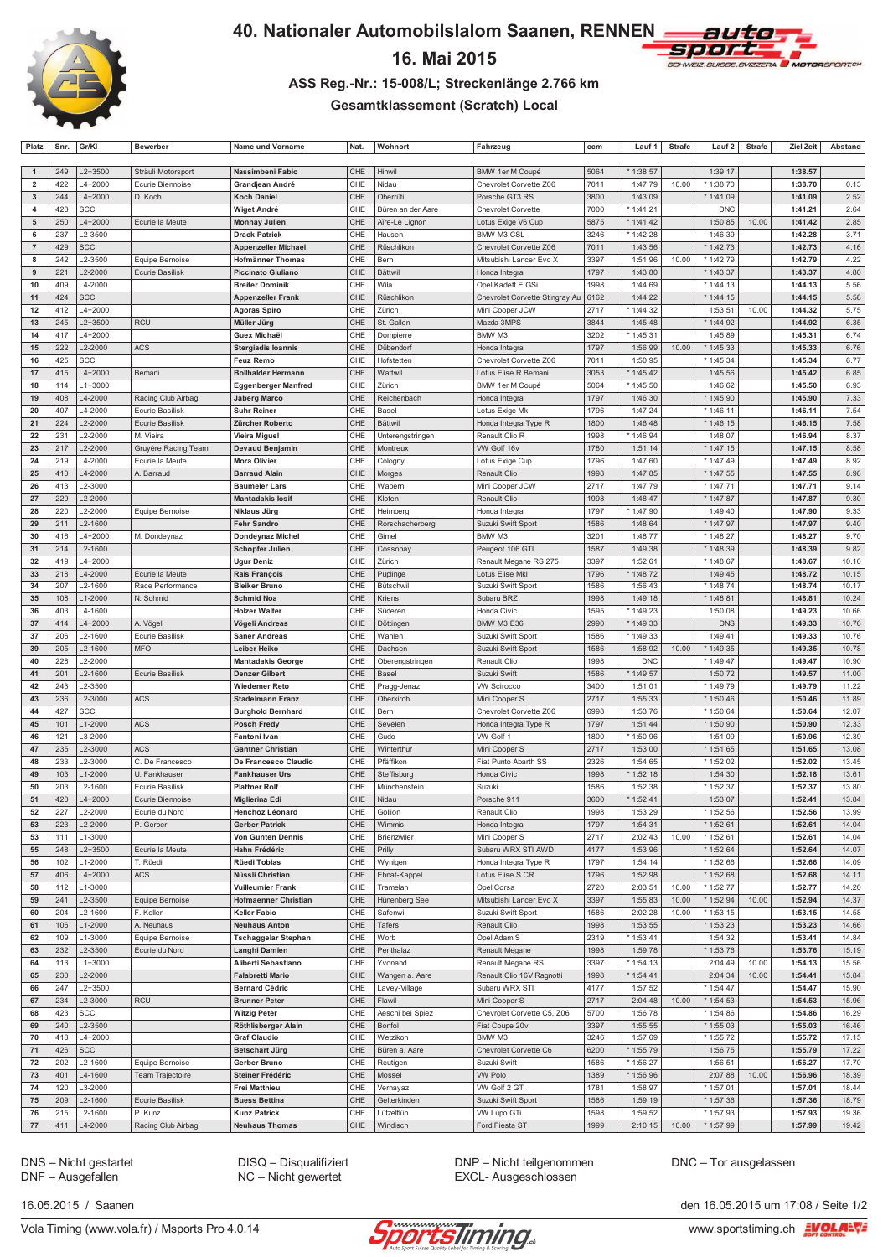

# 16. Mai 2015



#### ASS Reg.-Nr.: 15-008/L; Streckenlänge 2.766 km

### **Gesamtklassement (Scratch) Local**

|                         | Platz   Sfir.   Gr/Ni |             | pewerpe                | name unu vorname            |             | <b>MOULD</b>      | ranrzeug                       | CCIII |            | Laur <b>I</b> Strate | Laur 4 I   | Strafe | ziel zeit j | Abstand |
|-------------------------|-----------------------|-------------|------------------------|-----------------------------|-------------|-------------------|--------------------------------|-------|------------|----------------------|------------|--------|-------------|---------|
|                         |                       |             |                        |                             |             |                   |                                |       |            |                      |            |        |             |         |
| $\overline{1}$          | 249                   | L2+3500     | Sträuli Motorsport     | Nassimbeni Fabio            | CHE         | Hinwil            | BMW 1er M Coupé                | 5064  | * 1:38.57  |                      | 1:39.17    |        | 1:38.57     |         |
| $\overline{\mathbf{2}}$ | 422                   | L4+2000     | Ecurie Biennoise       | Grandjean André             | CHE         | Nidau             | Chevrolet Corvette Z06         | 7011  | 1:47.79    | 10.00                | * 1:38.70  |        | 1:38.70     | 0.13    |
| 3                       | 244                   | L4+2000     | D. Koch                | <b>Koch Daniel</b>          | CHE         | Oberrüti          | Porsche GT3 RS                 | 3800  | 1:43.09    |                      | * 1:41.09  |        | 1:41.09     | 2.52    |
| $\overline{\mathbf{4}}$ | 428                   | SCC         |                        | Wiget André                 | CHE         | Büren an der Aare | Chevrolet Corvette             | 7000  | * 1:41.21  |                      | <b>DNC</b> |        | 1:41.21     | 2.64    |
| 5                       | 250                   | L4+2000     | Ecurie la Meute        | <b>Monnay Julien</b>        | CHE         | Aïre-Le Lignon    | Lotus Exige V6 Cup             | 5875  | $*1:41.42$ |                      | 1:50.85    | 10.00  | 1:41.42     | 2.85    |
| 6                       | 237                   | L2-3500     |                        | <b>Drack Patrick</b>        | CHE         | Hausen            | BMW M3 CSL                     | 3246  | * 1:42.28  |                      | 1:46.39    |        | 1:42.28     | 3.71    |
|                         |                       |             |                        |                             |             |                   |                                |       |            |                      |            |        |             |         |
| $\overline{7}$          | 429                   | <b>SCC</b>  |                        | <b>Appenzeller Michael</b>  | CHE         | Rüschlikon        | Chevrolet Corvette Z06         | 7011  | 1:43.56    |                      | * 1:42.73  |        | 1:42.73     | 4.16    |
| 8                       | 242                   | L2-3500     | Equipe Bernoise        | <b>Hofmänner Thomas</b>     | CHE         | Bern              | Mitsubishi Lancer Evo X        | 3397  | 1:51.96    | 10.00                | * 1:42.79  |        | 1:42.79     | 4.22    |
| 9                       | 221                   | L2-2000     | Ecurie Basilisk        | <b>Piccinato Giuliano</b>   | CHE         | <b>Bättwil</b>    | Honda Integra                  | 1797  | 1:43.80    |                      | * 1:43.37  |        | 1:43.37     | 4.80    |
| 10                      | 409                   | L4-2000     |                        | <b>Breiter Dominik</b>      | CHE         | Wila              | Opel Kadett E GSi              | 1998  | 1:44.69    |                      | * 1:44.13  |        | 1:44.13     | 5.56    |
| 11                      | 424                   | SCC         |                        | <b>Appenzeller Frank</b>    | CHE         | Rüschlikon        | Chevrolet Corvette Stingray Au | 6162  | 1:44.22    |                      | * 1:44.15  |        | 1:44.15     | 5.58    |
| 12                      | 412                   | $L4 + 2000$ |                        | <b>Agoras Spiro</b>         | CHE         | Zürich            | Mini Cooper JCW                | 2717  | * 1:44.32  |                      | 1:53.51    | 10.00  | 1:44.32     | 5.75    |
| 13                      | 245                   | L2+3500     | <b>RCU</b>             | Müller Jürg                 | CHE         | St. Gallen        | Mazda 3MPS                     | 3844  | 1:45.48    |                      | * 1:44.92  |        | 1:44.92     | 6.35    |
| 14                      | 417                   | L4+2000     |                        | <b>Guex Michaël</b>         | CHE         | Dompierre         | BMW M3                         | 3202  | * 1:45.31  |                      | 1:45.89    |        | 1:45.31     | 6.74    |
|                         |                       |             |                        |                             |             |                   |                                |       |            |                      |            |        |             |         |
| 15                      | 222                   | L2-2000     | <b>ACS</b>             | <b>Stergiadis loannis</b>   | CHE         | Dübendorf         | Honda Integra                  | 1797  | 1:56.99    | 10.00                | * 1:45.33  |        | 1:45.33     | 6.76    |
| 16                      | 425                   | SCC         |                        | <b>Feuz Remo</b>            | CHE         | Hofstetten        | Chevrolet Corvette Z06         | 7011  | 1:50.95    |                      | * 1:45.34  |        | 1:45.34     | 6.77    |
| 17                      | 415                   | L4+2000     | Bemani                 | <b>Bollhalder Hermann</b>   | CHE         | Wattwil           | Lotus Elise R Bemani           | 3053  | $*1:45.42$ |                      | 1:45.56    |        | 1:45.42     | 6.85    |
| 18                      | 114                   | $L1 + 3000$ |                        | <b>Eggenberger Manfred</b>  | CHE         | Zürich            | BMW 1er M Coupé                | 5064  | * 1:45.50  |                      | 1:46.62    |        | 1:45.50     | 6.93    |
| 19                      | 408                   | L4-2000     | Racing Club Airbag     | <b>Jaberg Marco</b>         | CHE         | Reichenbach       | Honda Integra                  | 1797  | 1:46.30    |                      | * 1:45.90  |        | 1:45.90     | 7.33    |
| 20                      | 407                   | L4-2000     | Ecurie Basilisk        | <b>Suhr Reiner</b>          | CHE         | Basel             | Lotus Exige Mkl                | 1796  | 1:47.24    |                      | * 1:46.11  |        | 1:46.11     | 7.54    |
| 21                      | 224                   | L2-2000     | Ecurie Basilisk        | Zürcher Roberto             | CHE         | <b>Bättwil</b>    | Honda Integra Type R           | 1800  | 1:46.48    |                      | * 1:46.15  |        | 1:46.15     | 7.58    |
|                         |                       |             |                        |                             |             |                   |                                |       |            |                      |            |        |             |         |
| 22                      | 231                   | L2-2000     | M. Vieira              | <b>Vieira Miguel</b>        | CHE         | Unterengstringen  | Renault Clio R                 | 1998  | * 1:46.94  |                      | 1:48.07    |        | 1:46.94     | 8.37    |
| 23                      | 217                   | L2-2000     | Gruyère Racing Team    | <b>Devaud Benjamin</b>      | CHE         | Montreux          | VW Golf 16v                    | 1780  | 1:51.14    |                      | $*1:47.15$ |        | 1:47.15     | 8.58    |
| 24                      | 219                   | L4-2000     | Ecurie la Meute        | Mora Olivier                | CHE         | Cologny           | Lotus Exige Cup                | 1796  | 1:47.60    |                      | * 1:47.49  |        | 1:47.49     | 8.92    |
| 25                      | 410                   | L4-2000     | A. Barraud             | <b>Barraud Alain</b>        | CHE         | Morges            | Renault Clio                   | 1998  | 1:47.85    |                      | * 1:47.55  |        | 1:47.55     | 8.98    |
| 26                      | 413                   | L2-3000     |                        | <b>Baumeler Lars</b>        | CHE         | Wabern            | Mini Cooper JCW                | 2717  | 1:47.79    |                      | * 1:47.71  |        | 1:47.71     | 9.14    |
| 27                      | 229                   | L2-2000     |                        | <b>Mantadakis losif</b>     | CHE         | Kloten            | Renault Clio                   | 1998  | 1:48.47    |                      | * 1:47.87  |        | 1:47.87     | 9.30    |
| 28                      | 220                   | L2-2000     | Equipe Bernoise        | Niklaus Jürg                | CHE         | Heimberg          | Honda Integra                  | 1797  | * 1:47.90  |                      | 1:49.40    |        | 1:47.90     | 9.33    |
| 29                      | 211                   | L2-1600     |                        | <b>Fehr Sandro</b>          | CHE         | Rorschacherberg   | Suzuki Swift Sport             | 1586  | 1:48.64    |                      | * 1:47.97  |        | 1:47.97     | 9.40    |
| 30                      | 416                   | L4+2000     | M. Dondeynaz           |                             | CHE         | Gimel             | BMW M3                         | 3201  | 1:48.77    |                      | * 1:48.27  |        | 1:48.27     | 9.70    |
|                         |                       |             |                        | <b>Dondeynaz Michel</b>     |             |                   |                                |       |            |                      |            |        | 1:48.39     |         |
| 31                      | 214                   | L2-1600     |                        | <b>Schopfer Julien</b>      | CHE         | Cossonay          | Peugeot 106 GTI                | 1587  | 1:49.38    |                      | * 1:48.39  |        |             | 9.82    |
| 32                      | 419                   | L4+2000     |                        | <b>Ugur Deniz</b>           | CHE         | Zürich            | Renault Megane RS 275          | 3397  | 1:52.61    |                      | * 1:48.67  |        | 1:48.67     | 10.10   |
| 33                      | 218                   | L4-2000     | Ecurie la Meute        | <b>Rais François</b>        | CHE         | Puplinge          | Lotus Elise Mkl                | 1796  | * 1:48.72  |                      | 1:49.45    |        | 1:48.72     | 10.15   |
| 34                      | 207                   | L2-1600     | Race Performance       | <b>Bleiker Bruno</b>        | CHE         | Bütschwil         | Suzuki Swift Sport             | 1586  | 1:56.43    |                      | $*1:48.74$ |        | 1:48.74     | 10.17   |
| 35                      | 108                   | L1-2000     | N. Schmid              | <b>Schmid Noa</b>           | CHE         | Kriens            | Subaru BRZ                     | 1998  | 1:49.18    |                      | * 1:48.81  |        | 1:48.81     | 10.24   |
| 36                      | 403                   | L4-1600     |                        | <b>Holzer Walter</b>        | CHE         | Süderen           | Honda Civic                    | 1595  | * 1:49.23  |                      | 1:50.08    |        | 1:49.23     | 10.66   |
| 37                      | 414                   | L4+2000     | A. Vögeli              | Vögeli Andreas              | CHE         | Döttingen         | BMW M3 E36                     | 2990  | * 1:49.33  |                      | <b>DNS</b> |        | 1:49.33     | 10.76   |
| 37                      | 206                   | L2-1600     | Ecurie Basilisk        | <b>Saner Andreas</b>        | CHE         | Wahlen            | Suzuki Swift Sport             | 1586  | * 1:49.33  |                      | 1:49.41    |        | 1:49.33     | 10.76   |
|                         |                       |             | <b>MFO</b>             |                             | CHE         |                   |                                |       | 1:58.92    | 10.00                | * 1:49.35  |        | 1:49.35     |         |
| 39                      | 205                   | L2-1600     |                        | Leiber Heiko                |             | Dachsen           | Suzuki Swift Sport             | 1586  |            |                      |            |        |             | 10.78   |
| 40                      | 228                   | L2-2000     |                        | <b>Mantadakis George</b>    | CHE         | Oberengstringen   | Renault Clio                   | 1998  | <b>DNC</b> |                      | * 1:49.47  |        | 1:49.47     | 10.90   |
| 41                      | 201                   | L2-1600     | <b>Ecurie Basilisk</b> | <b>Denzer Gilbert</b>       | CHE         | Basel             | Suzuki Swift                   | 1586  | * 1:49.57  |                      | 1:50.72    |        | 1:49.57     | 11.00   |
| 42                      | 243                   | L2-3500     |                        | <b>Wiedemer Reto</b>        | CHE         | Pragg-Jenaz       | <b>VW Scirocco</b>             | 3400  | 1:51.01    |                      | * 1:49.79  |        | 1:49.79     | 11.22   |
| 43                      | 236                   | L2-3000     | ACS                    | <b>Stadelmann Franz</b>     | CHE         | Oberkirch         | Mini Cooper S                  | 2717  | 1:55.33    |                      | * 1:50.46  |        | 1:50.46     | 11.89   |
| 44                      | 427                   | SCC         |                        | <b>Burghold Bernhard</b>    | CHE         | Bern              | Chevrolet Corvette Z06         | 6998  | 1:53.76    |                      | * 1:50.64  |        | 1:50.64     | 12.07   |
| 45                      | 101                   | L1-2000     | <b>ACS</b>             | <b>Posch Fredy</b>          | CHE         | Sevelen           | Honda Integra Type R           | 1797  | 1:51.44    |                      | * 1:50.90  |        | 1:50.90     | 12.33   |
| 46                      | 121                   | L3-2000     |                        | Fantoni Ivan                | CHE         | Gudo              | VW Golf 1                      | 1800  | * 1:50.96  |                      | 1:51.09    |        | 1:50.96     | 12.39   |
| 47                      |                       |             |                        |                             | CHE         |                   |                                | 2717  |            |                      |            |        | 1:51.65     |         |
|                         | 235                   | L2-3000     | <b>ACS</b>             | <b>Gantner Christian</b>    |             | Winterthur        | Mini Cooper S                  |       | 1:53.00    |                      | * 1:51.65  |        |             | 13.08   |
| 48                      | 233                   | L2-3000     | C. De Francesco        | De Francesco Claudio        | CHE         | Pfäffikon         | Fiat Punto Abarth SS           | 2326  | 1:54.65    |                      | * 1:52.02  |        | 1:52.02     | 13.45   |
| 49                      | 103                   | L1-2000     | U. Fankhauser          | <b>Fankhauser Urs</b>       | CHE         | Steffisburg       | Honda Civic                    | 1998  | $*1:52.18$ |                      | 1:54.30    |        | 1:52.18     | 13.61   |
| 50                      | 203                   | L2-1600     | Ecurie Basilisk        | <b>Plattner Rolf</b>        | CHE         | Münchenstein      | Suzuki                         | 1586  | 1:52.38    |                      | * 1:52.37  |        | 1:52.37     | 13.80   |
| 51                      | 420                   | L4+2000     | Ecurie Biennoise       | <b>Miglierina Edi</b>       | CHE         | Nidau             | Porsche 911                    | 3600  | * 1:52.41  |                      | 1:53.07    |        | 1:52.41     | 13.84   |
| 52                      | 227                   | L2-2000     | Ecurie du Nord         | Henchoz Léonard             | CHE         | Gollion           | Renault Clio                   | 1998  | 1:53.29    |                      | * 1:52.56  |        | 1:52.56     | 13.99   |
| 53                      | 223                   | L2-2000     | P. Gerber              | <b>Gerber Patrick</b>       | CHE         | Wimmis            | Honda Integra                  | 1797  | 1:54.31    |                      | * 1:52.61  |        | 1:52.61     | 14.04   |
| 53                      | 111                   | L1-3000     |                        | <b>Von Gunten Dennis</b>    | CHE         | Brienzwiler       | Mini Cooper S                  | 2717  | 2:02.43    | 10.00                | * 1:52.61  |        | 1:52.61     | 14.04   |
| 55                      | 248                   | L2+3500     | Ecurie la Meute        | Hahn Frédéric               | CHE         | Prilly            | Subaru WRX STI AWD             | 4177  | 1:53.96    |                      | * 1:52.64  |        | 1:52.64     | 14.07   |
| 56                      | 102                   | L1-2000     | T. Rüedi               | Rüedi Tobias                | CHE         | Wynigen           | Honda Integra Type R           | 1797  | 1:54.14    |                      | * 1:52.66  |        | 1:52.66     | 14.09   |
|                         |                       |             |                        |                             |             |                   |                                |       |            |                      |            |        |             |         |
| 57                      | 406                   | L4+2000     | <b>ACS</b>             | Nüssli Christian            | CHE         | Ebnat-Kappel      | Lotus Elise S CR               | 1796  | 1:52.98    |                      | * 1:52.68  |        | 1:52.68     | 14.11   |
| 58                      | 112                   | L1-3000     |                        | <b>Vuilleumier Frank</b>    | CHE         | Tramelan          | Opel Corsa                     | 2720  | 2:03.51    | 10.00                | * 1:52.77  |        | 1:52.77     | 14.20   |
| 59                      | 241                   | L2-3500     | Equipe Bernoise        | <b>Hofmaenner Christian</b> | CHE         | Hünenberg See     | Mitsubishi Lancer Evo X        | 3397  | 1:55.83    | 10.00                | * 1:52.94  | 10.00  | 1:52.94     | 14.37   |
| 60                      | 204                   | L2-1600     | F. Keller              | <b>Keller Fabio</b>         | CHE         | Safenwil          | Suzuki Swift Sport             | 1586  | 2:02.28    | 10.00                | * 1:53.15  |        | 1:53.15     | 14.58   |
| 61                      | 106                   | L1-2000     | A. Neuhaus             | <b>Neuhaus Anton</b>        | CHE         | Tafers            | Renault Clio                   | 1998  | 1:53.55    |                      | * 1:53.23  |        | 1:53.23     | 14.66   |
| 62                      | 109                   | L1-3000     | Equipe Bernoise        | <b>Tschaggelar Stephan</b>  | CHE         | Worb              | Opel Adam S                    | 2319  | * 1:53.41  |                      | 1:54.32    |        | 1:53.41     | 14.84   |
| 63                      | 232                   | L2-3500     | Ecurie du Nord         | Langhi Damien               | CHE         | Penthalaz         | Renault Megane                 | 1998  | 1:59.78    |                      | * 1:53.76  |        | 1:53.76     | 15.19   |
| 64                      | 113                   | L1+3000     |                        | Aliberti Sebastiano         | CHE         | Yvonand           | Renault Megane RS              | 3397  | * 1:54.13  |                      | 2:04.49    | 10.00  | 1:54.13     | 15.56   |
|                         |                       |             |                        |                             |             |                   |                                |       |            |                      |            |        |             |         |
| 65                      | 230                   | L2-2000     |                        | <b>Falabretti Mario</b>     | CHE         | Wangen a. Aare    | Renault Clio 16V Ragnotti      | 1998  | $*1:54.41$ |                      | 2:04.34    | 10.00  | 1:54.41     | 15.84   |
| 66                      | 247                   | $L2 + 3500$ |                        | <b>Bernard Cédric</b>       | CHE         | Lavey-Village     | Subaru WRX STI                 | 4177  | 1:57.52    |                      | * 1:54.47  |        | 1:54.47     | 15.90   |
| 67                      | 234                   | L2-3000     | RCU                    | <b>Brunner Peter</b>        | ${\sf CHE}$ | Flawil            | Mini Cooper S                  | 2717  | 2:04.48    | 10.00                | * 1:54.53  |        | 1:54.53     | 15.96   |
| 68                      | 423                   | SCC         |                        | <b>Witzig Peter</b>         | CHE         | Aeschi bei Spiez  | Chevrolet Corvette C5, Z06     | 5700  | 1:56.78    |                      | * 1:54.86  |        | 1:54.86     | 16.29   |
| 69                      | 240                   | L2-3500     |                        | Röthlisberger Alain         | CHE         | Bonfol            | Fiat Coupe 20v                 | 3397  | 1:55.55    |                      | * 1:55.03  |        | 1:55.03     | 16.46   |
| 70                      | 418                   | L4+2000     |                        | <b>Graf Claudio</b>         | CHE         | Wetzikon          | BMW M3                         | 3246  | 1:57.69    |                      | * 1:55.72  |        | 1:55.72     | 17.15   |
| 71                      | 426                   | SCC         |                        | <b>Betschart Jürg</b>       | CHE         | Büren a. Aare     | Chevrolet Corvette C6          | 6200  | * 1:55.79  |                      | 1:56.75    |        | 1:55.79     | 17.22   |
| 72                      | 202                   | L2-1600     | Equipe Bernoise        | Gerber Bruno                | CHE         | Reutigen          | Suzuki Swift                   | 1586  | * 1:56.27  |                      | 1:56.51    |        | 1:56.27     | 17.70   |
| 73                      | 401                   | L4-1600     | Team Trajectoire       | Steiner Frédéric            | CHE         | Mossel            | <b>VW Polo</b>                 | 1389  | * 1:56.96  |                      | 2:07.88    | 10.00  | 1:56.96     | 18.39   |
|                         |                       |             |                        |                             |             |                   |                                |       |            |                      |            |        |             |         |
| 74                      | 120                   | L3-2000     |                        | <b>Frei Matthieu</b>        | CHE         | Vernayaz          | VW Golf 2 GTi                  | 1781  | 1:58.97    |                      | * 1:57.01  |        | 1:57.01     | 18.44   |
| 75                      | 209                   | L2-1600     | Ecurie Basilisk        | <b>Buess Bettina</b>        | CHE         | Gelterkinden      | Suzuki Swift Sport             | 1586  | 1:59.19    |                      | * 1:57.36  |        | 1:57.36     | 18.79   |
| 76                      | 215                   | L2-1600     | P. Kunz                | <b>Kunz Patrick</b>         | CHE         | Lützelflüh        | VW Lupo GTi                    | 1598  | 1:59.52    |                      | * 1:57.93  |        | 1:57.93     | 19.36   |
| 77                      | 411                   | $14 - 2000$ | Racing Club Airbag     | <b>Neubaus Thomas</b>       | CHE         | Windisch          | <b>Ford Fiesta ST</b>          | 1999  | 2.1015     | 10.00                | $* 1.5799$ |        | 1:57.99     | 1942    |

DNS - Nicht gestartet<br>DNF - Ausgefallen

DISQ - Disqualifiziert<br>NC - Nicht gewertet

DNP – Nicht teilgenommen<br>EXCL- Ausgeschlossen

DNC - Tor ausgelassen

16.05.2015 / Saanen